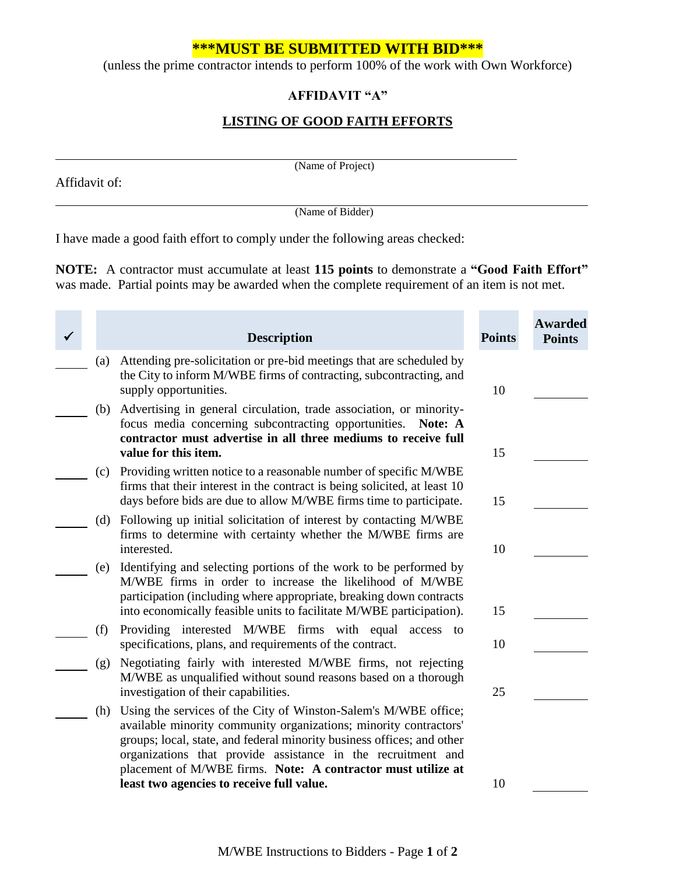# **\*\*\*MUST BE SUBMITTED WITH BID\*\*\***

(unless the prime contractor intends to perform 100% of the work with Own Workforce)

# **AFFIDAVIT "A"**

# **LISTING OF GOOD FAITH EFFORTS**

Affidavit of:

**COL** 

m. m. (Name of Project)

(Name of Bidder)

I have made a good faith effort to comply under the following areas checked:

**NOTE:** A contractor must accumulate at least **115 points** to demonstrate a **"Good Faith Effort"** was made. Partial points may be awarded when the complete requirement of an item is not met.

 $\mathcal{L}_{\rm{eff}}$ 

m.

**College** 

|     | <b>Description</b>                                                                                                                                                                                                                                                                                                                                                                          | <b>Points</b>                                                                                                | <b>Awarded</b><br><b>Points</b> |
|-----|---------------------------------------------------------------------------------------------------------------------------------------------------------------------------------------------------------------------------------------------------------------------------------------------------------------------------------------------------------------------------------------------|--------------------------------------------------------------------------------------------------------------|---------------------------------|
| (a) | Attending pre-solicitation or pre-bid meetings that are scheduled by<br>the City to inform M/WBE firms of contracting, subcontracting, and<br>supply opportunities.                                                                                                                                                                                                                         | 10                                                                                                           |                                 |
| (b) | Advertising in general circulation, trade association, or minority-<br>focus media concerning subcontracting opportunities.<br>Note: A<br>contractor must advertise in all three mediums to receive full<br>value for this item.                                                                                                                                                            | 15                                                                                                           |                                 |
| (c) | Providing written notice to a reasonable number of specific M/WBE<br>firms that their interest in the contract is being solicited, at least 10<br>days before bids are due to allow M/WBE firms time to participate.                                                                                                                                                                        | 15                                                                                                           |                                 |
| (d) | Following up initial solicitation of interest by contacting M/WBE<br>firms to determine with certainty whether the M/WBE firms are<br>interested.                                                                                                                                                                                                                                           | 10                                                                                                           |                                 |
| (e) | Identifying and selecting portions of the work to be performed by<br>M/WBE firms in order to increase the likelihood of M/WBE<br>participation (including where appropriate, breaking down contracts                                                                                                                                                                                        |                                                                                                              |                                 |
| (f) | Providing interested M/WBE firms with equal<br>access to<br>specifications, plans, and requirements of the contract.                                                                                                                                                                                                                                                                        | 10                                                                                                           |                                 |
| (g) | Negotiating fairly with interested M/WBE firms, not rejecting<br>M/WBE as unqualified without sound reasons based on a thorough                                                                                                                                                                                                                                                             |                                                                                                              |                                 |
| (h) | Using the services of the City of Winston-Salem's M/WBE office;<br>available minority community organizations; minority contractors'<br>groups; local, state, and federal minority business offices; and other<br>organizations that provide assistance in the recruitment and<br>placement of M/WBE firms. Note: A contractor must utilize at<br>least two agencies to receive full value. | 10                                                                                                           |                                 |
|     |                                                                                                                                                                                                                                                                                                                                                                                             | into economically feasible units to facilitate M/WBE participation).<br>investigation of their capabilities. | 15<br>25                        |